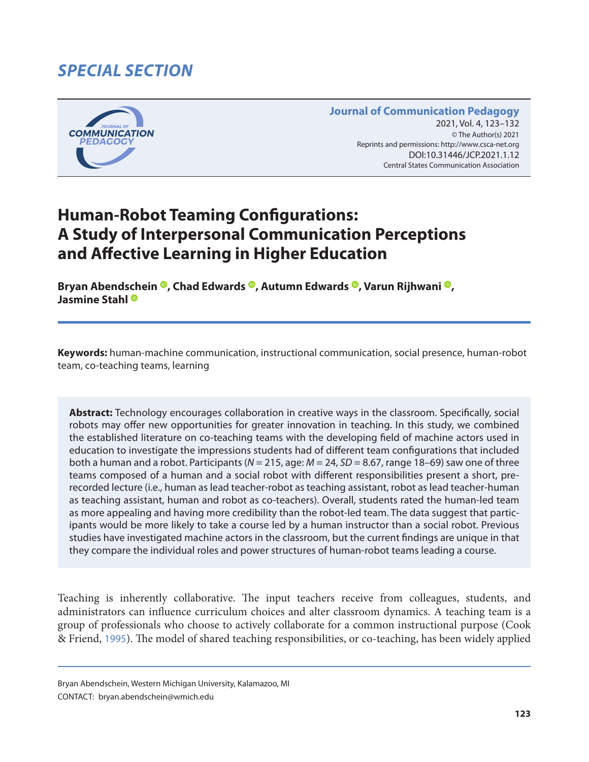# *SPECIAL SECTION*



#### **Journal of Communication Pedagogy** 2021, Vol. 4, 123-132 © The Author(s) 2021 Reprints and permissions: <http://www.csca-net.org> 2021, Vol. 4, 123–1322021Reprints and permissions:<http://www.csca-net.org> DOI:10.31446/JCP.2021.1.12 Central States Communication Association Central States Communication Association

# **Human-Robot Teaming Configurations: A Study of Interpersonal Communication Perceptions and Affective Learning in Higher Education**

**Bryan Abendschein <sup>®</sup>, Chad Edwards <sup>®</sup>, Autumn Edwards ®, Varun Rijhwani ®, Jasmine Stahl**

**Keywords:** human-machine communication, instructional communication, social presence, human-robot team, co-teaching teams, learning

**Abstract:** Technology encourages collaboration in creative ways in the classroom. Specifically, social robots may offer new opportunities for greater innovation in teaching. In this study, we combined the established literature on co-teaching teams with the developing field of machine actors used in education to investigate the impressions students had of different team configurations that included both a human and a robot. Participants (*N* = 215, age: *M* = 24, *SD* = 8.67, range 18–69) saw one of three teams composed of a human and a social robot with different responsibilities present a short, prerecorded lecture (i.e., human as lead teacher-robot as teaching assistant, robot as lead teacher-human as teaching assistant, human and robot as co-teachers). Overall, students rated the human-led team as more appealing and having more credibility than the robot-led team. The data suggest that participants would be more likely to take a course led by a human instructor than a social robot. Previous studies have investigated machine actors in the classroom, but the current findings are unique in that they compare the individual roles and power structures of human-robot teams leading a course.

Teaching is inherently collaborative. The input teachers receive from colleagues, students, and administrators can influence curriculum choices and alter classroom dynamics. A teaching team is a group of professionals who choose to actively collaborate for a common instructional purpose (Cook & Friend, [1995](#page-6-0)). The model of shared teaching responsibilities, or co-teaching, has been widely applied

Bryan Abendschein, Western Michigan University, Kalamazoo, MI CONTACT: bryan.abendschein@wmich.edu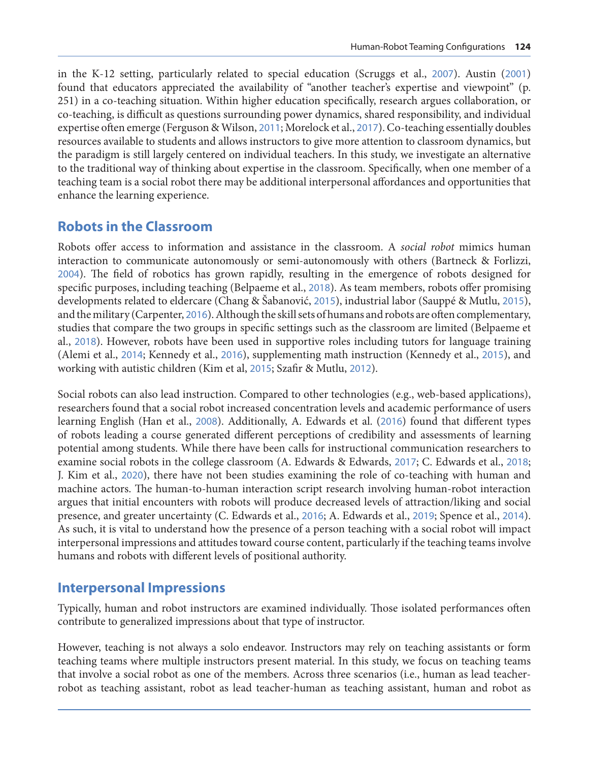in the K-12 setting, particularly related to special education (Scruggs et al., [2007](#page-9-0)). Austin ([2001](#page-6-0)) found that educators appreciated the availability of "another teacher's expertise and viewpoint" (p. 251) in a co-teaching situation. Within higher education specifically, research argues collaboration, or co-teaching, is difficult as questions surrounding power dynamics, shared responsibility, and individual expertise often emerge (Ferguson & Wilson, [2011](#page-7-0); Morelock et al., [2017](#page-8-0)). Co-teaching essentially doubles resources available to students and allows instructors to give more attention to classroom dynamics, but the paradigm is still largely centered on individual teachers. In this study, we investigate an alternative to the traditional way of thinking about expertise in the classroom. Specifically, when one member of a teaching team is a social robot there may be additional interpersonal affordances and opportunities that enhance the learning experience.

### **Robots in the Classroom**

Robots offer access to information and assistance in the classroom. A *social robot* mimics human interaction to communicate autonomously or semi-autonomously with others (Bartneck & Forlizzi, [2004](#page-6-0)). The field of robotics has grown rapidly, resulting in the emergence of robots designed for specific purposes, including teaching (Belpaeme et al., [2018](#page-6-0)). As team members, robots offer promising developments related to eldercare (Chang & Šabanović, [2015](#page-6-0)), industrial labor (Sauppé & Mutlu, [2015](#page-9-0)), and the military (Carpenter, [2016](#page-6-0)). Although the skill sets of humans and robots are often complementary, studies that compare the two groups in specific settings such as the classroom are limited (Belpaeme et al., [2018](#page-6-0)). However, robots have been used in supportive roles including tutors for language training (Alemi et al., [2014](#page-6-0); Kennedy et al., [2016](#page-8-0)), supplementing math instruction (Kennedy et al., [2015](#page-7-0)), and working with autistic children (Kim et al, [2015](#page-8-0); Szafir & Mutlu, [2012](#page-9-0)).

Social robots can also lead instruction. Compared to other technologies (e.g., web-based applications), researchers found that a social robot increased concentration levels and academic performance of users learning English (Han et al., [2008](#page-7-0)). Additionally, A. Edwards et al. ([2016](#page-6-0)) found that different types of robots leading a course generated different perceptions of credibility and assessments of learning potential among students. While there have been calls for instructional communication researchers to examine social robots in the college classroom (A. Edwards & Edwards, [2017](#page-7-0); C. Edwards et al., [2018](#page-7-0); J. Kim et al., [2020](#page-8-0)), there have not been studies examining the role of co-teaching with human and machine actors. The human-to-human interaction script research involving human-robot interaction argues that initial encounters with robots will produce decreased levels of attraction/liking and social presence, and greater uncertainty (C. Edwards et al., [2016](#page-7-0); A. Edwards et al., [2019](#page-7-0); Spence et al., [2014](#page-9-0)). As such, it is vital to understand how the presence of a person teaching with a social robot will impact interpersonal impressions and attitudes toward course content, particularly if the teaching teams involve humans and robots with different levels of positional authority.

#### **Interpersonal Impressions**

Typically, human and robot instructors are examined individually. Those isolated performances often contribute to generalized impressions about that type of instructor.

However, teaching is not always a solo endeavor. Instructors may rely on teaching assistants or form teaching teams where multiple instructors present material. In this study, we focus on teaching teams that involve a social robot as one of the members. Across three scenarios (i.e., human as lead teacherrobot as teaching assistant, robot as lead teacher-human as teaching assistant, human and robot as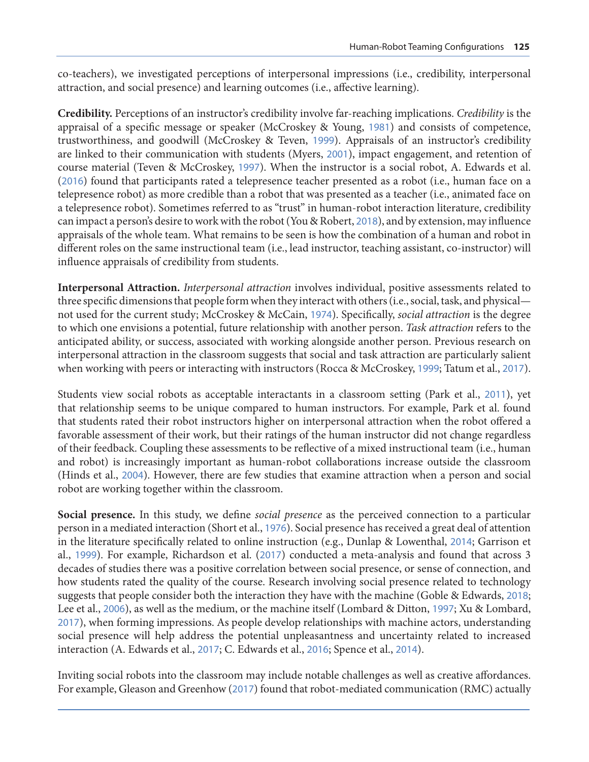co-teachers), we investigated perceptions of interpersonal impressions (i.e., credibility, interpersonal attraction, and social presence) and learning outcomes (i.e., affective learning).

**Credibility.** Perceptions of an instructor's credibility involve far-reaching implications. *Credibility* is the appraisal of a specific message or speaker (McCroskey & Young, [1981](#page-8-0)) and consists of competence, trustworthiness, and goodwill (McCroskey & Teven, [1999](#page-8-0)). Appraisals of an instructor's credibility are linked to their communication with students (Myers, [2001](#page-8-0)), impact engagement, and retention of course material (Teven & McCroskey, [1997](#page-9-0)). When the instructor is a social robot, A. Edwards et al. ([2016](#page-7-0)) found that participants rated a telepresence teacher presented as a robot (i.e., human face on a telepresence robot) as more credible than a robot that was presented as a teacher (i.e., animated face on a telepresence robot). Sometimes referred to as "trust" in human-robot interaction literature, credibility can impact a person's desire to work with the robot (You & Robert, [2018](#page-9-0)), and by extension, may influence appraisals of the whole team. What remains to be seen is how the combination of a human and robot in different roles on the same instructional team (i.e., lead instructor, teaching assistant, co-instructor) will influence appraisals of credibility from students.

**Interpersonal Attraction.** *Interpersonal attraction* involves individual, positive assessments related to three specific dimensions that people form when they interact with others (i.e., social, task, and physical not used for the current study; McCroskey & McCain, [1974](#page-8-0)). Specifically, *social attraction* is the degree to which one envisions a potential, future relationship with another person. *Task attraction* refers to the anticipated ability, or success, associated with working alongside another person. Previous research on interpersonal attraction in the classroom suggests that social and task attraction are particularly salient when working with peers or interacting with instructors (Rocca & McCroskey, [1999](#page-8-0); Tatum et al., [2017](#page-9-0)).

Students view social robots as acceptable interactants in a classroom setting (Park et al., [2011](#page-8-0)), yet that relationship seems to be unique compared to human instructors. For example, Park et al. found that students rated their robot instructors higher on interpersonal attraction when the robot offered a favorable assessment of their work, but their ratings of the human instructor did not change regardless of their feedback. Coupling these assessments to be reflective of a mixed instructional team (i.e., human and robot) is increasingly important as human-robot collaborations increase outside the classroom (Hinds et al., [2004](#page-7-0)). However, there are few studies that examine attraction when a person and social robot are working together within the classroom.

**Social presence.** In this study, we define *social presence* as the perceived connection to a particular person in a mediated interaction (Short et al., [1976](#page-9-0)). Social presence has received a great deal of attention in the literature specifically related to online instruction (e.g., Dunlap & Lowenthal, [2014](#page-7-0); Garrison et al., [1999](#page-7-0)). For example, Richardson et al. ([2017](#page-8-0)) conducted a meta-analysis and found that across 3 decades of studies there was a positive correlation between social presence, or sense of connection, and how students rated the quality of the course. Research involving social presence related to technology suggests that people consider both the interaction they have with the machine (Goble & Edwards, [2018](#page-7-0); Lee et al., [2006](#page-8-0)), as well as the medium, or the machine itself (Lombard & Ditton, [1997](#page-8-0); Xu & Lombard, [2017](#page-9-0)), when forming impressions. As people develop relationships with machine actors, understanding social presence will help address the potential unpleasantness and uncertainty related to increased interaction (A. Edwards et al., [2017](#page-7-0); C. Edwards et al., [2016](#page-7-0); Spence et al., [2014](#page-9-0)).

Inviting social robots into the classroom may include notable challenges as well as creative affordances. For example, Gleason and Greenhow ([2017](#page-7-0)) found that robot-mediated communication (RMC) actually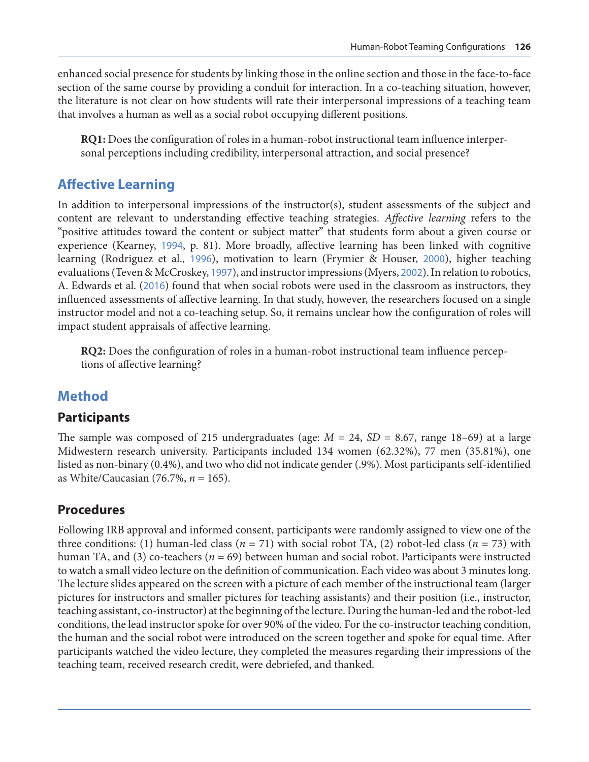enhanced social presence for students by linking those in the online section and those in the face-to-face section of the same course by providing a conduit for interaction. In a co-teaching situation, however, the literature is not clear on how students will rate their interpersonal impressions of a teaching team that involves a human as well as a social robot occupying different positions.

**RQ1:** Does the configuration of roles in a human-robot instructional team influence interpersonal perceptions including credibility, interpersonal attraction, and social presence?

# **Affective Learning**

In addition to interpersonal impressions of the instructor(s), student assessments of the subject and content are relevant to understanding effective teaching strategies. *Affective learning* refers to the "positive attitudes toward the content or subject matter" that students form about a given course or experience (Kearney, [1994](#page-7-0), p. 81). More broadly, affective learning has been linked with cognitive learning (Rodriguez et al., [1996](#page-8-0)), motivation to learn (Frymier & Houser, [2000](#page-7-0)), higher teaching evaluations (Teven & McCroskey, [1997](#page-9-0)), and instructor impressions (Myers, [2002](#page-8-0)). In relation to robotics, A. Edwards et al. ([2016](#page-7-0)) found that when social robots were used in the classroom as instructors, they influenced assessments of affective learning. In that study, however, the researchers focused on a single instructor model and not a co-teaching setup. So, it remains unclear how the configuration of roles will impact student appraisals of affective learning.

**RQ2:** Does the configuration of roles in a human-robot instructional team influence perceptions of affective learning?

# **Method**

#### **Participants**

The sample was composed of 215 undergraduates (age:  $M = 24$ ,  $SD = 8.67$ , range 18–69) at a large Midwestern research university. Participants included 134 women (62.32%), 77 men (35.81%), one listed as non-binary (0.4%), and two who did not indicate gender (.9%). Most participants self-identified as White/Caucasian (76.7%, *n* = 165).

### **Procedures**

Following IRB approval and informed consent, participants were randomly assigned to view one of the three conditions: (1) human-led class  $(n = 71)$  with social robot TA, (2) robot-led class  $(n = 73)$  with human TA, and (3) co-teachers (*n* = 69) between human and social robot. Participants were instructed to watch a small video lecture on the definition of communication. Each video was about 3 minutes long. The lecture slides appeared on the screen with a picture of each member of the instructional team (larger pictures for instructors and smaller pictures for teaching assistants) and their position (i.e., instructor, teaching assistant, co-instructor) at the beginning of the lecture. During the human-led and the robot-led conditions, the lead instructor spoke for over 90% of the video. For the co-instructor teaching condition, the human and the social robot were introduced on the screen together and spoke for equal time. After participants watched the video lecture, they completed the measures regarding their impressions of the teaching team, received research credit, were debriefed, and thanked.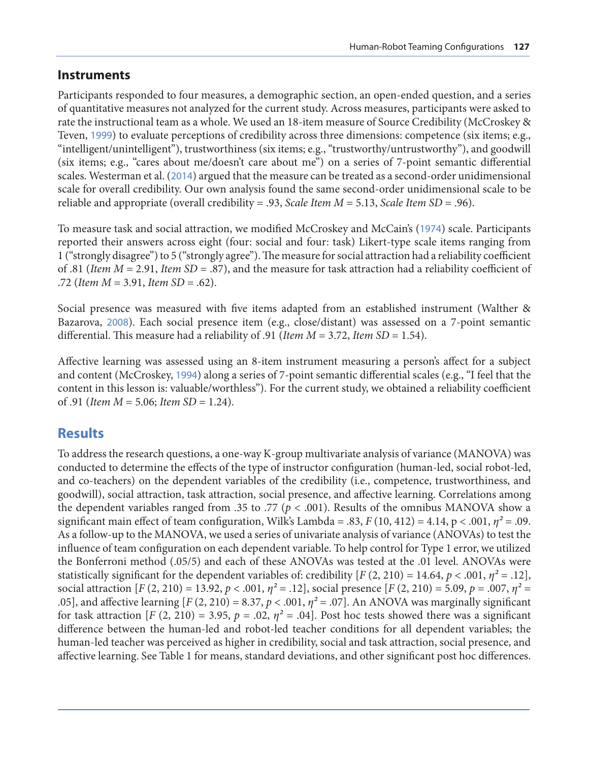#### **Instruments**

Participants responded to four measures, a demographic section, an open-ended question, and a series of quantitative measures not analyzed for the current study. Across measures, participants were asked to rate the instructional team as a whole. We used an 18-item measure of Source Credibility (McCroskey & Teven, [1999](#page-8-0)) to evaluate perceptions of credibility across three dimensions: competence (six items; e.g., "intelligent/unintelligent"), trustworthiness (six items; e.g., "trustworthy/untrustworthy"), and goodwill (six items; e.g., "cares about me/doesn't care about me") on a series of 7-point semantic differential scales. Westerman et al. ([2014](#page-9-0)) argued that the measure can be treated as a second-order unidimensional scale for overall credibility. Our own analysis found the same second-order unidimensional scale to be reliable and appropriate (overall credibility = .93, *Scale Item M* = 5.13, *Scale Item SD* = .96).

To measure task and social attraction, we modified McCroskey and McCain's ([1974](#page-8-0)) scale. Participants reported their answers across eight (four: social and four: task) Likert-type scale items ranging from 1 ("strongly disagree") to 5 ("strongly agree"). The measure for social attraction had a reliability coefficient of .81 (*Item M* = 2.91, *Item SD* = .87), and the measure for task attraction had a reliability coefficient of .72 (*Item M* = 3.91, *Item SD* = .62).

Social presence was measured with five items adapted from an established instrument (Walther & Bazarova, [2008](#page-9-0)). Each social presence item (e.g., close/distant) was assessed on a 7-point semantic differential. This measure had a reliability of .91 (*Item M* = 3.72, *Item SD* = 1.54).

Affective learning was assessed using an 8-item instrument measuring a person's affect for a subject and content (McCroskey, [1994](#page-8-0)) along a series of 7-point semantic differential scales (e.g., "I feel that the content in this lesson is: valuable/worthless"). For the current study, we obtained a reliability coefficient of .91 (*Item M* = 5.06; *Item SD* = 1.24).

# **Results**

To address the research questions, a one-way K-group multivariate analysis of variance (MANOVA) was conducted to determine the effects of the type of instructor configuration (human-led, social robot-led, and co-teachers) on the dependent variables of the credibility (i.e., competence, trustworthiness, and goodwill), social attraction, task attraction, social presence, and affective learning. Correlations among the dependent variables ranged from .35 to .77 ( $p < .001$ ). Results of the omnibus MANOVA show a significant main effect of team configuration, Wilk's Lambda = .83,  $F(10, 412) = 4.14$ ,  $p < .001$ ,  $\eta^2 = .09$ . As a follow-up to the MANOVA, we used a series of univariate analysis of variance (ANOVAs) to test the influence of team configuration on each dependent variable. To help control for Type 1 error, we utilized the Bonferroni method (.05/5) and each of these ANOVAs was tested at the .01 level. ANOVAs were statistically significant for the dependent variables of: credibility  $[F(2, 210) = 14.64, p < .001, \eta^2 = .12]$ , social attraction  $[F(2, 210) = 13.92, p < .001, \eta^2 = .12]$ , social presence  $[F(2, 210) = 5.09, p = .007, \eta^2 = .007]$ .05], and affective learning  $[F(2, 210) = 8.37, p < .001, \eta^2 = .07]$ . An ANOVA was marginally significant for task attraction  $[F (2, 210) = 3.95, p = .02, \eta^2 = .04]$ . Post hoc tests showed there was a significant difference between the human-led and robot-led teacher conditions for all dependent variables; the human-led teacher was perceived as higher in credibility, social and task attraction, social presence, and affective learning. See Table 1 for means, standard deviations, and other significant post hoc differences.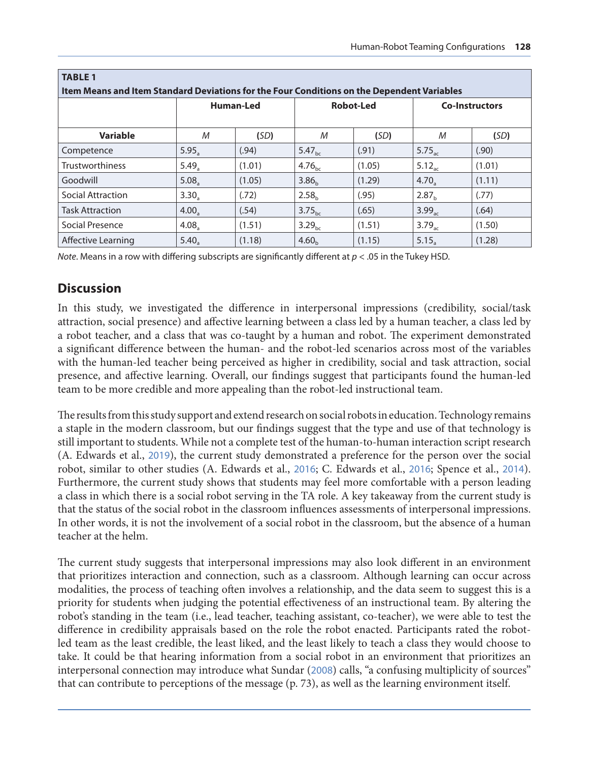| <b>TABLE 1</b><br>Item Means and Item Standard Deviations for the Four Conditions on the Dependent Variables |                   |        |                    |        |                       |        |
|--------------------------------------------------------------------------------------------------------------|-------------------|--------|--------------------|--------|-----------------------|--------|
|                                                                                                              | Human-Led         |        | <b>Robot-Led</b>   |        | <b>Co-Instructors</b> |        |
| <b>Variable</b>                                                                                              | M                 | (SD)   | М                  | (SD)   | M                     | (SD)   |
| Competence                                                                                                   | 5.95 <sub>a</sub> | (.94)  | $5.47_{\text{bc}}$ | (.91)  | 5.75 <sub>ac</sub>    | (.90)  |
| <b>Trustworthiness</b>                                                                                       | $5.49_a$          | (1.01) | $4.76_{\rm bc}$    | (1.05) | $5.12_{ac}$           | (1.01) |
| Goodwill                                                                                                     | $5.08_a$          | (1.05) | 3.86 <sub>h</sub>  | (1.29) | $4.70_a$              | (1.11) |
| Social Attraction                                                                                            | 3.30 <sub>a</sub> | (.72)  | 2.58 <sub>b</sub>  | (.95)  | 2.87 <sub>h</sub>     | (.77)  |
| <b>Task Attraction</b>                                                                                       | $4.00_a$          | (.54)  | 3.75 <sub>bc</sub> | (.65)  | 3.99 <sub>ac</sub>    | (.64)  |
| Social Presence                                                                                              | 4.08 <sub>a</sub> | (1.51) | 3.29 <sub>bc</sub> | (1.51) | 3.79 <sub>ac</sub>    | (1.50) |
| Affective Learning                                                                                           | 5.40 <sub>a</sub> | (1.18) | 4.60 <sub>b</sub>  | (1.15) | 5.15 <sub>a</sub>     | (1.28) |

*Note*. Means in a row with differing subscripts are significantly different at  $p < .05$  in the Tukey HSD.

#### **Discussion**

In this study, we investigated the difference in interpersonal impressions (credibility, social/task attraction, social presence) and affective learning between a class led by a human teacher, a class led by a robot teacher, and a class that was co-taught by a human and robot. The experiment demonstrated a significant difference between the human- and the robot-led scenarios across most of the variables with the human-led teacher being perceived as higher in credibility, social and task attraction, social presence, and affective learning. Overall, our findings suggest that participants found the human-led team to be more credible and more appealing than the robot-led instructional team.

The results from this study support and extend research on social robots in education. Technology remains a staple in the modern classroom, but our findings suggest that the type and use of that technology is still important to students. While not a complete test of the human-to-human interaction script research (A. Edwards et al., [2019](#page-7-0)), the current study demonstrated a preference for the person over the social robot, similar to other studies (A. Edwards et al., [2016](#page-7-0); C. Edwards et al., [2016](#page-7-0); Spence et al., [2014](#page-9-0)). Furthermore, the current study shows that students may feel more comfortable with a person leading a class in which there is a social robot serving in the TA role. A key takeaway from the current study is that the status of the social robot in the classroom influences assessments of interpersonal impressions. In other words, it is not the involvement of a social robot in the classroom, but the absence of a human teacher at the helm.

The current study suggests that interpersonal impressions may also look different in an environment that prioritizes interaction and connection, such as a classroom. Although learning can occur across modalities, the process of teaching often involves a relationship, and the data seem to suggest this is a priority for students when judging the potential effectiveness of an instructional team. By altering the robot's standing in the team (i.e., lead teacher, teaching assistant, co-teacher), we were able to test the difference in credibility appraisals based on the role the robot enacted. Participants rated the robotled team as the least credible, the least liked, and the least likely to teach a class they would choose to take. It could be that hearing information from a social robot in an environment that prioritizes an interpersonal connection may introduce what Sundar ([2008](#page-9-0)) calls, "a confusing multiplicity of sources" that can contribute to perceptions of the message (p. 73), as well as the learning environment itself.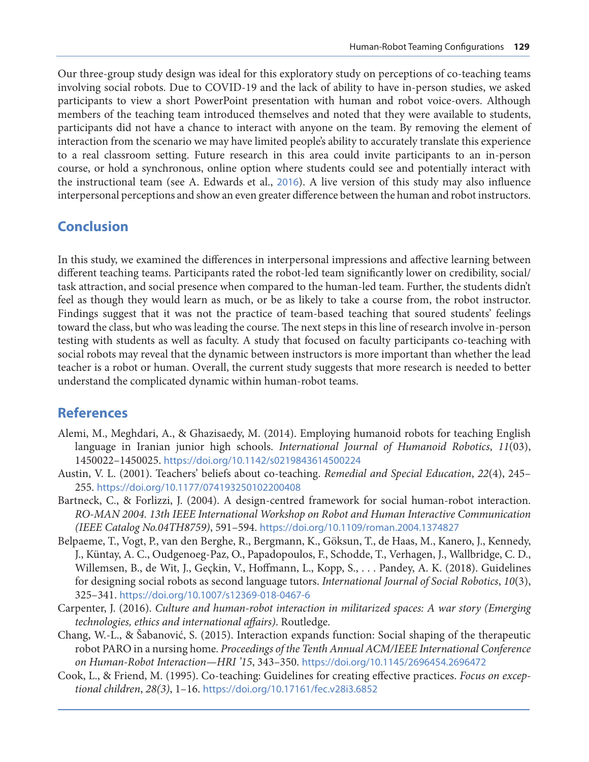<span id="page-6-0"></span>Our three-group study design was ideal for this exploratory study on perceptions of co-teaching teams involving social robots. Due to COVID-19 and the lack of ability to have in-person studies, we asked participants to view a short PowerPoint presentation with human and robot voice-overs. Although members of the teaching team introduced themselves and noted that they were available to students, participants did not have a chance to interact with anyone on the team. By removing the element of interaction from the scenario we may have limited people's ability to accurately translate this experience to a real classroom setting. Future research in this area could invite participants to an in-person course, or hold a synchronous, online option where students could see and potentially interact with the instructional team (see A. Edwards et al., [2016](#page-7-0)). A live version of this study may also influence interpersonal perceptions and show an even greater difference between the human and robot instructors.

#### **Conclusion**

In this study, we examined the differences in interpersonal impressions and affective learning between different teaching teams. Participants rated the robot-led team significantly lower on credibility, social/ task attraction, and social presence when compared to the human-led team. Further, the students didn't feel as though they would learn as much, or be as likely to take a course from, the robot instructor. Findings suggest that it was not the practice of team-based teaching that soured students' feelings toward the class, but who was leading the course. The next steps in this line of research involve in-person testing with students as well as faculty. A study that focused on faculty participants co-teaching with social robots may reveal that the dynamic between instructors is more important than whether the lead teacher is a robot or human. Overall, the current study suggests that more research is needed to better understand the complicated dynamic within human-robot teams.

#### **References**

- Alemi, M., Meghdari, A., & Ghazisaedy, M. (2014). Employing humanoid robots for teaching English language in Iranian junior high schools. *International Journal of Humanoid Robotics*, *11*(03), 1450022–1450025. <https://doi.org/10.1142/s0219843614500224>
- Austin, V. L. (2001). Teachers' beliefs about co-teaching. *Remedial and Special Education*, *22*(4), 245– 255. <https://doi.org/10.1177/074193250102200408>
- Bartneck, C., & Forlizzi, J. (2004). A design-centred framework for social human-robot interaction. *RO-MAN 2004. 13th IEEE International Workshop on Robot and Human Interactive Communication (IEEE Catalog No.04TH8759)*, 591–594. <https://doi.org/10.1109/roman.2004.1374827>
- Belpaeme, T., Vogt, P., van den Berghe, R., Bergmann, K., Göksun, T., de Haas, M., Kanero, J., Kennedy, J., Küntay, A. C., Oudgenoeg-Paz, O., Papadopoulos, F., Schodde, T., Verhagen, J., Wallbridge, C. D., Willemsen, B., de Wit, J., Geçkin, V., Hoffmann, L., Kopp, S., . . . Pandey, A. K. (2018). Guidelines for designing social robots as second language tutors. *International Journal of Social Robotics*, *10*(3), 325–341. <https://doi.org/10.1007/s12369-018-0467-6>
- Carpenter, J. (2016). *Culture and human-robot interaction in militarized spaces: A war story (Emerging technologies, ethics and international affairs)*. Routledge.
- Chang, W.-L., & Šabanović, S. (2015). Interaction expands function: Social shaping of the therapeutic robot PARO in a nursing home. *Proceedings of the Tenth Annual ACM/IEEE International Conference on Human-Robot Interaction—HRI '15*, 343–350. <https://doi.org/10.1145/2696454.2696472>
- Cook, L., & Friend, M. (1995). Co-teaching: Guidelines for creating effective practices. *Focus on exceptional children*, *28(3)*, 1–16. <https://doi.org/10.17161/fec.v28i3.6852>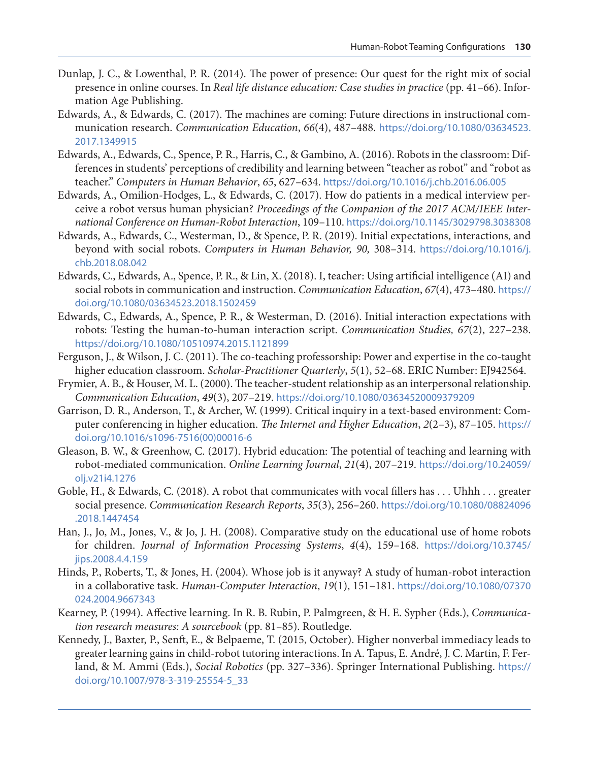- <span id="page-7-0"></span>Dunlap, J. C., & Lowenthal, P. R. (2014). The power of presence: Our quest for the right mix of social presence in online courses. In *Real life distance education: Case studies in practice* (pp. 41–66). Information Age Publishing.
- Edwards, A., & Edwards, C. (2017). The machines are coming: Future directions in instructional communication research. *Communication Education*, *66*(4), 487–488. [https://doi.org/10.1080/03634523.](https://doi.org/10.1080/03634523.2017.1349915) [2017.1349915](https://doi.org/10.1080/03634523.2017.1349915)
- Edwards, A., Edwards, C., Spence, P. R., Harris, C., & Gambino, A. (2016). Robots in the classroom: Differences in students' perceptions of credibility and learning between "teacher as robot" and "robot as teacher." *Computers in Human Behavior*, *65*, 627–634. <https://doi.org/10.1016/j.chb.2016.06.005>
- Edwards, A., Omilion-Hodges, L., & Edwards, C. (2017). How do patients in a medical interview perceive a robot versus human physician? *Proceedings of the Companion of the 2017 ACM/IEEE International Conference on Human-Robot Interaction*, 109–110. <https://doi.org/10.1145/3029798.3038308>
- Edwards, A., Edwards, C., Westerman, D., & Spence, P. R. (2019). Initial expectations, interactions, and beyond with social robots. *Computers in Human Behavior, 90,* 308–314. [https://doi.org/10.1016/j.](https://doi.org/10.1016/j.chb.2018.08.042) [chb.2018.08.042](https://doi.org/10.1016/j.chb.2018.08.042)
- Edwards, C., Edwards, A., Spence, P. R., & Lin, X. (2018). I, teacher: Using artificial intelligence (AI) and social robots in communication and instruction. *Communication Education*, *67*(4), 473–480. [https://](https://doi.org/10.1080/03634523.2018.1502459) [doi.org/10.1080/03634523.2018.1502459](https://doi.org/10.1080/03634523.2018.1502459)
- Edwards, C., Edwards, A., Spence, P. R., & Westerman, D. (2016). Initial interaction expectations with robots: Testing the human-to-human interaction script. *Communication Studies, 67*(2), 227–238. <https://doi.org/10.1080/10510974.2015.1121899>
- Ferguson, J., & Wilson, J. C. (2011). The co-teaching professorship: Power and expertise in the co-taught higher education classroom. *Scholar-Practitioner Quarterly*, *5*(1), 52–68. ERIC Number: EJ942564.
- Frymier, A. B., & Houser, M. L. (2000). The teacher‐student relationship as an interpersonal relationship. *Communication Education*, *49*(3), 207–219. <https://doi.org/10.1080/03634520009379209>
- Garrison, D. R., Anderson, T., & Archer, W. (1999). Critical inquiry in a text-based environment: Computer conferencing in higher education. *The Internet and Higher Education*, *2*(2–3), 87–105. [https://](https://doi.org/10.1016/s1096-7516(00)00016-6) [doi.org/10.1016/s1096-7516\(00\)00016-6](https://doi.org/10.1016/s1096-7516(00)00016-6)
- Gleason, B. W., & Greenhow, C. (2017). Hybrid education: The potential of teaching and learning with robot-mediated communication. *Online Learning Journal*, *21*(4), 207–219. [https://doi.org/10.24059/](https://doi.org/10.24059/olj.v21i4.1276) [olj.v21i4.1276](https://doi.org/10.24059/olj.v21i4.1276)
- Goble, H., & Edwards, C. (2018). A robot that communicates with vocal fillers has . . . Uhhh . . . greater social presence. *Communication Research Reports*, *35*(3), 256–260. [https://doi.org/10.1080/08824096](https://doi.org/10.1080/08824096.2018.1447454) [.2018.1447454](https://doi.org/10.1080/08824096.2018.1447454)
- Han, J., Jo, M., Jones, V., & Jo, J. H. (2008). Comparative study on the educational use of home robots for children. *Journal of Information Processing Systems*, *4*(4), 159–168. [https://doi.org/10.3745/](https://doi.org/10.3745/jips.2008.4.4.159) [jips.2008.4.4.159](https://doi.org/10.3745/jips.2008.4.4.159)
- Hinds, P., Roberts, T., & Jones, H. (2004). Whose job is it anyway? A study of human-robot interaction in a collaborative task. *Human-Computer Interaction*, *19*(1), 151–181. [https://doi.org/10.1080/07370](https://doi.org/10.1080/07370024.2004.9667343) [024.2004.9667343](https://doi.org/10.1080/07370024.2004.9667343)
- Kearney, P. (1994). Affective learning. In R. B. Rubin, P. Palmgreen, & H. E. Sypher (Eds.), *Communication research measures: A sourcebook* (pp. 81–85). Routledge.
- Kennedy, J., Baxter, P., Senft, E., & Belpaeme, T. (2015, October). Higher nonverbal immediacy leads to greater learning gains in child-robot tutoring interactions. In A. Tapus, E. André, J. C. Martin, F. Ferland, & M. Ammi (Eds.), *Social Robotics* (pp. 327–336). Springer International Publishing. [https://](https://doi.org/10.1007/978-3-319-25554-5_33) [doi.org/10.1007/978-3-319-25554-5\\_33](https://doi.org/10.1007/978-3-319-25554-5_33)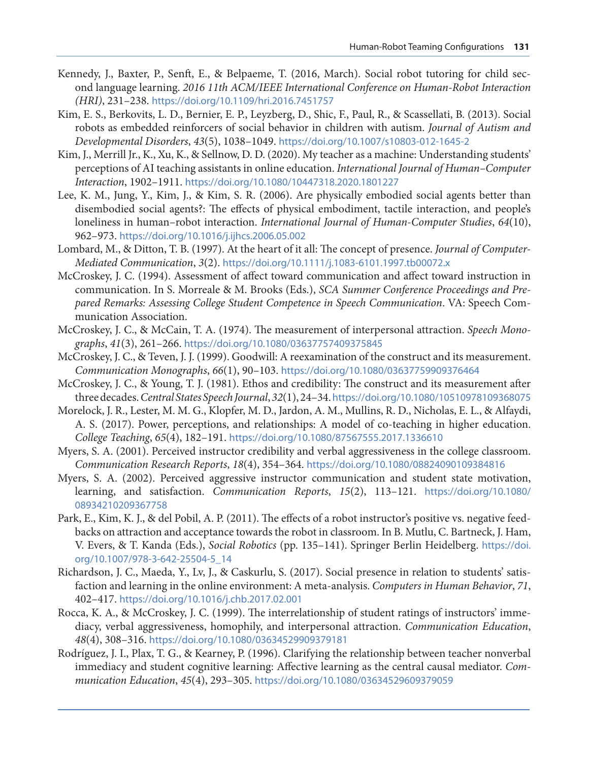- <span id="page-8-0"></span>Kennedy, J., Baxter, P., Senft, E., & Belpaeme, T. (2016, March). Social robot tutoring for child second language learning. *2016 11th ACM/IEEE International Conference on Human-Robot Interaction (HRI)*, 231–238. <https://doi.org/10.1109/hri.2016.7451757>
- Kim, E. S., Berkovits, L. D., Bernier, E. P., Leyzberg, D., Shic, F., Paul, R., & Scassellati, B. (2013). Social robots as embedded reinforcers of social behavior in children with autism. *Journal of Autism and Developmental Disorders*, *43*(5), 1038–1049. <https://doi.org/10.1007/s10803-012-1645-2>
- Kim, J., Merrill Jr., K., Xu, K., & Sellnow, D. D. (2020). My teacher as a machine: Understanding students' perceptions of AI teaching assistants in online education. *International Journal of Human–Computer Interaction*, 1902–1911. <https://doi.org/10.1080/10447318.2020.1801227>
- Lee, K. M., Jung, Y., Kim, J., & Kim, S. R. (2006). Are physically embodied social agents better than disembodied social agents?: The effects of physical embodiment, tactile interaction, and people's loneliness in human–robot interaction. *International Journal of Human-Computer Studies*, *64*(10), 962–973. <https://doi.org/10.1016/j.ijhcs.2006.05.002>
- Lombard, M., & Ditton, T. B. (1997). At the heart of it all: The concept of presence. *Journal of Computer-Mediated Communication*, *3*(2). <https://doi.org/10.1111/j.1083-6101.1997.tb00072.x>
- McCroskey, J. C. (1994). Assessment of affect toward communication and affect toward instruction in communication. In S. Morreale & M. Brooks (Eds.), *SCA Summer Conference Proceedings and Prepared Remarks: Assessing College Student Competence in Speech Communication*. VA: Speech Communication Association.
- McCroskey, J. C., & McCain, T. A. (1974). The measurement of interpersonal attraction. *Speech Monographs*, *41*(3), 261–266. <https://doi.org/10.1080/03637757409375845>
- McCroskey, J. C., & Teven, J. J. (1999). Goodwill: A reexamination of the construct and its measurement. *Communication Monographs*, *66*(1), 90–103. <https://doi.org/10.1080/03637759909376464>
- McCroskey, J. C., & Young, T. J. (1981). Ethos and credibility: The construct and its measurement after three decades. *Central States Speech Journal*, *32*(1), 24–34. <https://doi.org/10.1080/10510978109368075>
- Morelock, J. R., Lester, M. M. G., Klopfer, M. D., Jardon, A. M., Mullins, R. D., Nicholas, E. L., & Alfaydi, A. S. (2017). Power, perceptions, and relationships: A model of co-teaching in higher education. *College Teaching*, *65*(4), 182–191. <https://doi.org/10.1080/87567555.2017.1336610>
- Myers, S. A. (2001). Perceived instructor credibility and verbal aggressiveness in the college classroom. *Communication Research Reports*, *18*(4), 354–364. <https://doi.org/10.1080/08824090109384816>
- Myers, S. A. (2002). Perceived aggressive instructor communication and student state motivation, learning, and satisfaction. *Communication Reports*, *15*(2), 113–121. [https://doi.org/10.1080/](https://doi.org/10.1080/08934210209367758) [08934210209367758](https://doi.org/10.1080/08934210209367758)
- Park, E., Kim, K. J., & del Pobil, A. P. (2011). The effects of a robot instructor's positive vs. negative feedbacks on attraction and acceptance towards the robot in classroom. In B. Mutlu, C. Bartneck, J. Ham, V. Evers, & T. Kanda (Eds.), *Social Robotics* (pp. 135–141). Springer Berlin Heidelberg. [https://doi.](https://doi.org/10.1007/978-3-642-25504-5_14) [org/10.1007/978-3-642-25504-5\\_14](https://doi.org/10.1007/978-3-642-25504-5_14)
- Richardson, J. C., Maeda, Y., Lv, J., & Caskurlu, S. (2017). Social presence in relation to students' satisfaction and learning in the online environment: A meta-analysis. *Computers in Human Behavior*, *71*, 402–417. <https://doi.org/10.1016/j.chb.2017.02.001>
- Rocca, K. A., & McCroskey, J. C. (1999). The interrelationship of student ratings of instructors' immediacy, verbal aggressiveness, homophily, and interpersonal attraction. *Communication Education*, *48*(4), 308–316. <https://doi.org/10.1080/03634529909379181>
- Rodríguez, J. I., Plax, T. G., & Kearney, P. (1996). Clarifying the relationship between teacher nonverbal immediacy and student cognitive learning: Affective learning as the central causal mediator. *Communication Education*, *45*(4), 293–305. <https://doi.org/10.1080/03634529609379059>